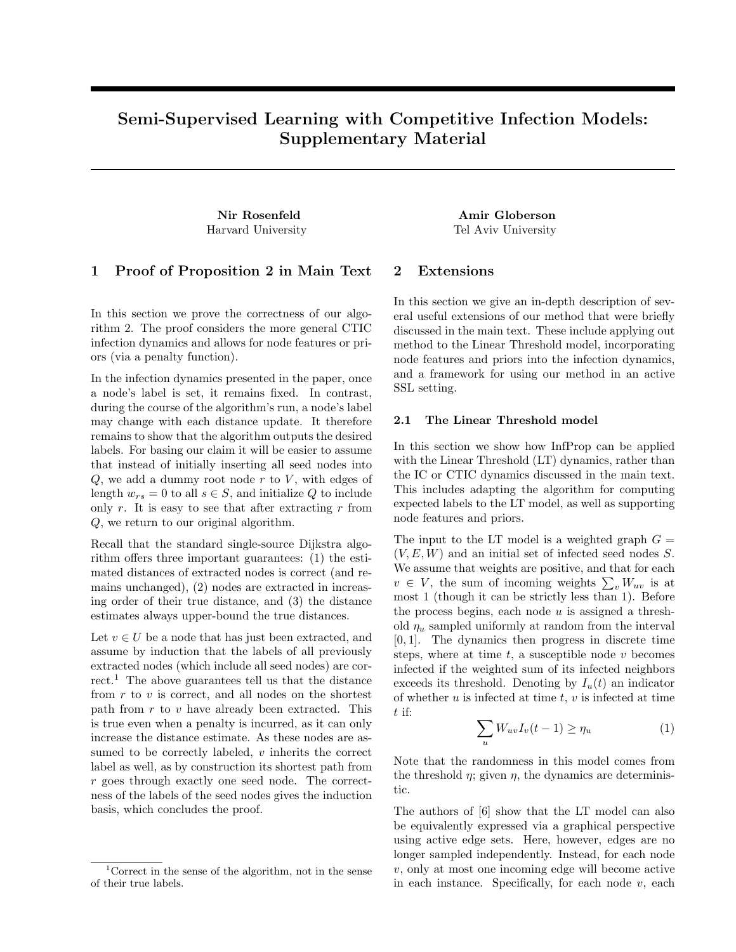# Semi-Supervised Learning with Competitive Infection Models: Supplementary Material

Harvard University Tel Aviv University

## 1 Proof of Proposition 2 in Main Text

In this section we prove the correctness of our algorithm 2. The proof considers the more general CTIC infection dynamics and allows for node features or priors (via a penalty function).

In the infection dynamics presented in the paper, once a node's label is set, it remains fixed. In contrast, during the course of the algorithm's run, a node's label may change with each distance update. It therefore remains to show that the algorithm outputs the desired labels. For basing our claim it will be easier to assume that instead of initially inserting all seed nodes into  $Q$ , we add a dummy root node  $r$  to  $V$ , with edges of length  $w_{rs} = 0$  to all  $s \in S$ , and initialize Q to include only  $r$ . It is easy to see that after extracting  $r$  from Q, we return to our original algorithm.

Recall that the standard single-source Dijkstra algorithm offers three important guarantees: (1) the estimated distances of extracted nodes is correct (and remains unchanged), (2) nodes are extracted in increasing order of their true distance, and (3) the distance estimates always upper-bound the true distances.

Let  $v \in U$  be a node that has just been extracted, and assume by induction that the labels of all previously extracted nodes (which include all seed nodes) are cor $rect<sup>1</sup>$ . The above guarantees tell us that the distance from  $r$  to  $v$  is correct, and all nodes on the shortest path from  $r$  to  $v$  have already been extracted. This is true even when a penalty is incurred, as it can only increase the distance estimate. As these nodes are assumed to be correctly labeled,  $v$  inherits the correct label as well, as by construction its shortest path from r goes through exactly one seed node. The correctness of the labels of the seed nodes gives the induction basis, which concludes the proof.

Nir Rosenfeld Amir Globerson

### 2 Extensions

In this section we give an in-depth description of several useful extensions of our method that were briefly discussed in the main text. These include applying out method to the Linear Threshold model, incorporating node features and priors into the infection dynamics, and a framework for using our method in an active SSL setting.

#### 2.1 The Linear Threshold model

In this section we show how InfProp can be applied with the Linear Threshold (LT) dynamics, rather than the IC or CTIC dynamics discussed in the main text. This includes adapting the algorithm for computing expected labels to the LT model, as well as supporting node features and priors.

The input to the LT model is a weighted graph  $G =$  $(V, E, W)$  and an initial set of infected seed nodes S. We assume that weights are positive, and that for each  $v \in V$ , the sum of incoming weights  $\sum_{v} W_{uv}$  is at most 1 (though it can be strictly less than 1). Before the process begins, each node  $u$  is assigned a threshold  $\eta_u$  sampled uniformly at random from the interval [0, 1]. The dynamics then progress in discrete time steps, where at time  $t$ , a susceptible node  $v$  becomes infected if the weighted sum of its infected neighbors exceeds its threshold. Denoting by  $I_u(t)$  an indicator of whether  $u$  is infected at time  $t, v$  is infected at time  $t$  if:

$$
\sum_{u} W_{uv} I_v(t-1) \ge \eta_u \tag{1}
$$

Note that the randomness in this model comes from the threshold  $\eta$ ; given  $\eta$ , the dynamics are deterministic.

The authors of [6] show that the LT model can also be equivalently expressed via a graphical perspective using active edge sets. Here, however, edges are no longer sampled independently. Instead, for each node v, only at most one incoming edge will become active in each instance. Specifically, for each node  $v$ , each

<sup>&</sup>lt;sup>1</sup>Correct in the sense of the algorithm, not in the sense of their true labels.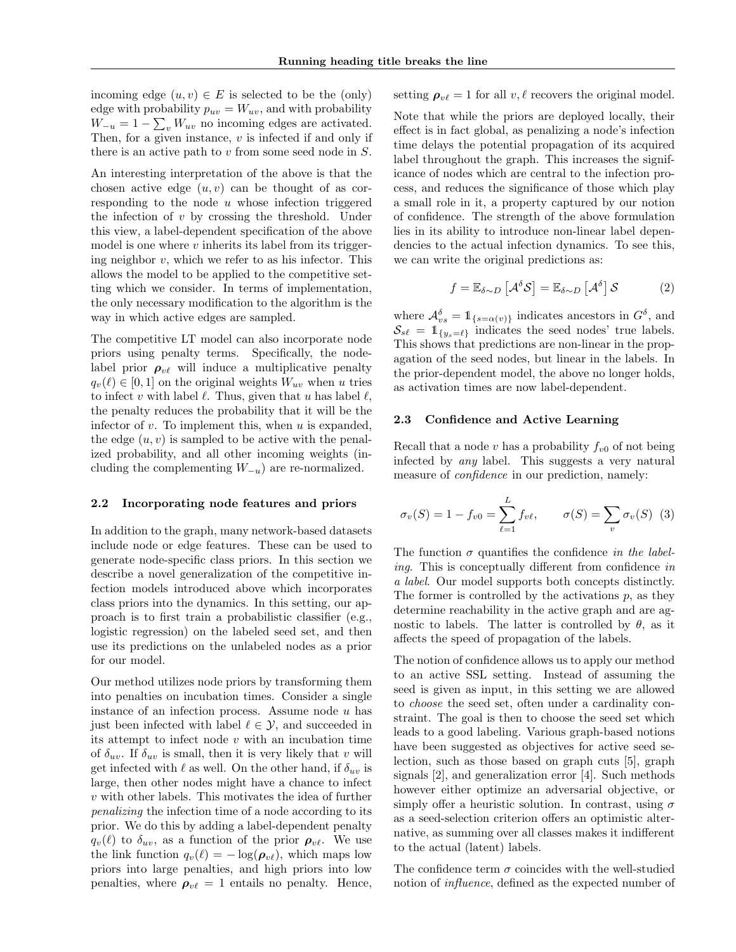incoming edge  $(u, v) \in E$  is selected to be the (only) edge with probability  $p_{uv} = W_{uv}$ , and with probability  $W_{-u} = 1 - \sum_{v} W_{uv}$  no incoming edges are activated. Then, for a given instance,  $v$  is infected if and only if there is an active path to  $v$  from some seed node in  $S$ .

An interesting interpretation of the above is that the chosen active edge  $(u, v)$  can be thought of as corresponding to the node u whose infection triggered the infection of  $v$  by crossing the threshold. Under this view, a label-dependent specification of the above model is one where  $v$  inherits its label from its triggering neighbor  $v$ , which we refer to as his infector. This allows the model to be applied to the competitive setting which we consider. In terms of implementation, the only necessary modification to the algorithm is the way in which active edges are sampled.

The competitive LT model can also incorporate node priors using penalty terms. Specifically, the nodelabel prior  $\rho_{v\ell}$  will induce a multiplicative penalty  $q_v(\ell) \in [0, 1]$  on the original weights  $W_{uv}$  when u tries to infect v with label  $\ell$ . Thus, given that u has label  $\ell$ , the penalty reduces the probability that it will be the infector of  $v$ . To implement this, when  $u$  is expanded, the edge  $(u, v)$  is sampled to be active with the penalized probability, and all other incoming weights (including the complementing  $W_{-u}$ ) are re-normalized.

#### 2.2 Incorporating node features and priors

In addition to the graph, many network-based datasets include node or edge features. These can be used to generate node-specific class priors. In this section we describe a novel generalization of the competitive infection models introduced above which incorporates class priors into the dynamics. In this setting, our approach is to first train a probabilistic classifier (e.g., logistic regression) on the labeled seed set, and then use its predictions on the unlabeled nodes as a prior for our model.

Our method utilizes node priors by transforming them into penalties on incubation times. Consider a single instance of an infection process. Assume node  $u$  has just been infected with label  $\ell \in \mathcal{Y}$ , and succeeded in its attempt to infect node  $v$  with an incubation time of  $\delta_{uv}$ . If  $\delta_{uv}$  is small, then it is very likely that v will get infected with  $\ell$  as well. On the other hand, if  $\delta_{uv}$  is large, then other nodes might have a chance to infect v with other labels. This motivates the idea of further penalizing the infection time of a node according to its prior. We do this by adding a label-dependent penalty  $q_v(\ell)$  to  $\delta_{uv}$ , as a function of the prior  $\rho_{v\ell}$ . We use the link function  $q_v(\ell) = -\log(\boldsymbol{\rho}_{v\ell})$ , which maps low priors into large penalties, and high priors into low penalties, where  $\rho_{v\ell} = 1$  entails no penalty. Hence,

setting  $\rho_{v\ell} = 1$  for all  $v, \ell$  recovers the original model.

Note that while the priors are deployed locally, their effect is in fact global, as penalizing a node's infection time delays the potential propagation of its acquired label throughout the graph. This increases the significance of nodes which are central to the infection process, and reduces the significance of those which play a small role in it, a property captured by our notion of confidence. The strength of the above formulation lies in its ability to introduce non-linear label dependencies to the actual infection dynamics. To see this, we can write the original predictions as:

$$
f = \mathbb{E}_{\delta \sim D} \left[ \mathcal{A}^{\delta} \mathcal{S} \right] = \mathbb{E}_{\delta \sim D} \left[ \mathcal{A}^{\delta} \right] \mathcal{S} \tag{2}
$$

where  $\mathcal{A}_{vs}^{\delta} = \mathbb{1}_{\{s=\alpha(v)\}}$  indicates ancestors in  $G^{\delta}$ , and  $S_{s\ell} = 1_{\{y_s=\ell\}}$  indicates the seed nodes' true labels. This shows that predictions are non-linear in the propagation of the seed nodes, but linear in the labels. In the prior-dependent model, the above no longer holds, as activation times are now label-dependent.

#### 2.3 Confidence and Active Learning

Recall that a node v has a probability  $f_{v0}$  of not being infected by any label. This suggests a very natural measure of confidence in our prediction, namely:

$$
\sigma_v(S) = 1 - f_{v0} = \sum_{\ell=1}^L f_{v\ell}, \qquad \sigma(S) = \sum_v \sigma_v(S)
$$
 (3)

The function  $\sigma$  quantifies the confidence in the labeling. This is conceptually different from confidence in a label. Our model supports both concepts distinctly. The former is controlled by the activations  $p$ , as they determine reachability in the active graph and are agnostic to labels. The latter is controlled by  $\theta$ , as it affects the speed of propagation of the labels.

The notion of confidence allows us to apply our method to an active SSL setting. Instead of assuming the seed is given as input, in this setting we are allowed to choose the seed set, often under a cardinality constraint. The goal is then to choose the seed set which leads to a good labeling. Various graph-based notions have been suggested as objectives for active seed selection, such as those based on graph cuts [5], graph signals [2], and generalization error [4]. Such methods however either optimize an adversarial objective, or simply offer a heuristic solution. In contrast, using  $\sigma$ as a seed-selection criterion offers an optimistic alternative, as summing over all classes makes it indifferent to the actual (latent) labels.

The confidence term  $\sigma$  coincides with the well-studied notion of influence, defined as the expected number of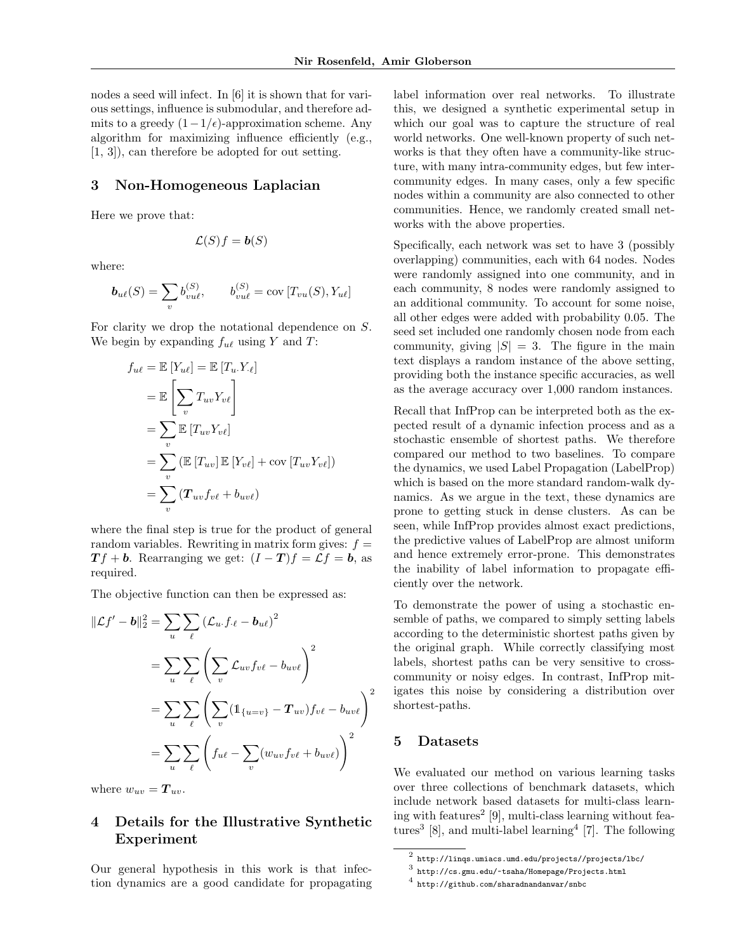nodes a seed will infect. In [6] it is shown that for various settings, influence is submodular, and therefore admits to a greedy  $(1-1/\epsilon)$ -approximation scheme. Any algorithm for maximizing influence efficiently (e.g., [1, 3]), can therefore be adopted for out setting.

### 3 Non-Homogeneous Laplacian

Here we prove that:

$$
\mathcal{L}(S)f = b(S)
$$

where:

$$
b_{u\ell}(S) = \sum_{v} b_{vu\ell}^{(S)}, \qquad b_{vu\ell}^{(S)} = \text{cov}[T_{vu}(S), Y_{u\ell}]
$$

For clarity we drop the notational dependence on S. We begin by expanding  $f_{u\ell}$  using Y and T:

$$
f_{u\ell} = \mathbb{E}[Y_{u\ell}] = \mathbb{E}[T_u.Y_{\ell}]
$$
  
\n
$$
= \mathbb{E}\left[\sum_v T_{uv}Y_{v\ell}\right]
$$
  
\n
$$
= \sum_v \mathbb{E}[T_{uv}Y_{v\ell}]
$$
  
\n
$$
= \sum_v (\mathbb{E}[T_{uv}]\mathbb{E}[Y_{v\ell}] + \text{cov}[T_{uv}Y_{v\ell}])
$$
  
\n
$$
= \sum_v (\mathbf{T}_{uv}f_{v\ell} + b_{uv\ell})
$$

where the final step is true for the product of general random variables. Rewriting in matrix form gives:  $f =$  $T f + b$ . Rearranging we get:  $(I - T) f = \mathcal{L} f = b$ , as required.

The objective function can then be expressed as:

$$
\|\mathcal{L}f' - \mathbf{b}\|_2^2 = \sum_u \sum_{\ell} (\mathcal{L}_u \cdot f_{\ell} - \mathbf{b}_{u\ell})^2
$$
  
= 
$$
\sum_u \sum_{\ell} \left( \sum_v \mathcal{L}_{uv} f_{v\ell} - b_{uv\ell} \right)^2
$$
  
= 
$$
\sum_u \sum_{\ell} \left( \sum_v (\mathbb{1}_{\{u=v\}} - T_{uv}) f_{v\ell} - b_{uv\ell} \right)^2
$$
  
= 
$$
\sum_u \sum_{\ell} \left( f_{u\ell} - \sum_v (w_{uv} f_{v\ell} + b_{uv\ell}) \right)^2
$$

where  $w_{uv} = T_{uv}$ .

# 4 Details for the Illustrative Synthetic Experiment

Our general hypothesis in this work is that infection dynamics are a good candidate for propagating label information over real networks. To illustrate this, we designed a synthetic experimental setup in which our goal was to capture the structure of real world networks. One well-known property of such networks is that they often have a community-like structure, with many intra-community edges, but few intercommunity edges. In many cases, only a few specific nodes within a community are also connected to other communities. Hence, we randomly created small networks with the above properties.

Specifically, each network was set to have 3 (possibly overlapping) communities, each with 64 nodes. Nodes were randomly assigned into one community, and in each community, 8 nodes were randomly assigned to an additional community. To account for some noise, all other edges were added with probability 0.05. The seed set included one randomly chosen node from each community, giving  $|S| = 3$ . The figure in the main text displays a random instance of the above setting, providing both the instance specific accuracies, as well as the average accuracy over 1,000 random instances.

Recall that InfProp can be interpreted both as the expected result of a dynamic infection process and as a stochastic ensemble of shortest paths. We therefore compared our method to two baselines. To compare the dynamics, we used Label Propagation (LabelProp) which is based on the more standard random-walk dynamics. As we argue in the text, these dynamics are prone to getting stuck in dense clusters. As can be seen, while InfProp provides almost exact predictions, the predictive values of LabelProp are almost uniform and hence extremely error-prone. This demonstrates the inability of label information to propagate efficiently over the network.

To demonstrate the power of using a stochastic ensemble of paths, we compared to simply setting labels according to the deterministic shortest paths given by the original graph. While correctly classifying most labels, shortest paths can be very sensitive to crosscommunity or noisy edges. In contrast, InfProp mitigates this noise by considering a distribution over shortest-paths.

### 5 Datasets

We evaluated our method on various learning tasks over three collections of benchmark datasets, which include network based datasets for multi-class learning with features<sup>2</sup> [9], multi-class learning without features<sup>3</sup> [8], and multi-label learning<sup>4</sup> [7]. The following

 $^2$  http://linqs.umiacs.umd.edu/projects//projects/lbc/

 $^3$  http://cs.gmu.edu/~tsaha/Homepage/Projects.html

<sup>4</sup> http://github.com/sharadnandanwar/snbc